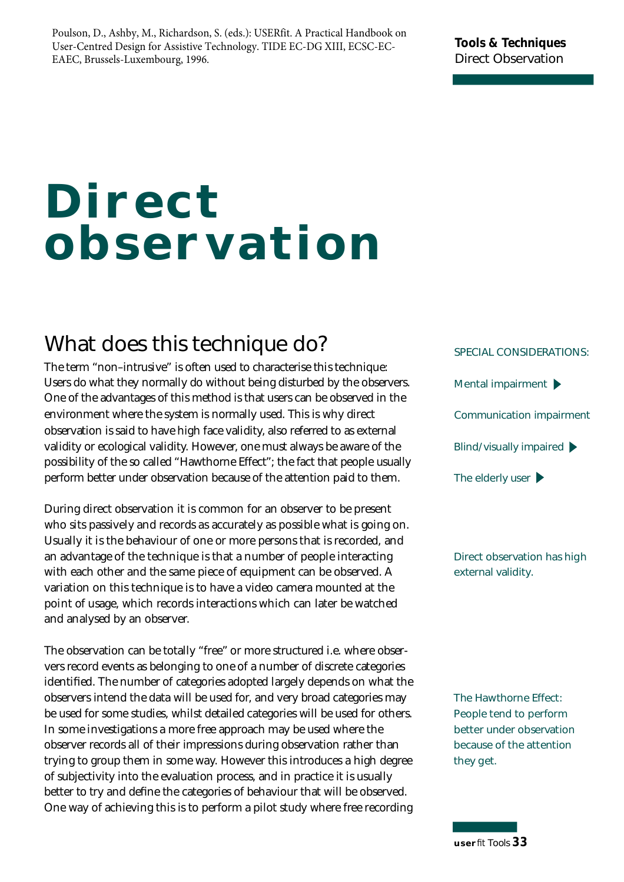Poulson, D., Ashby, M., Richardson, S. (eds.): USERfit. A Practical Handbook on User-Centred Design for Assistive Technology. TIDE EC-DG XIII, ECSC-EC-EAEC, Brussels-Luxembourg, 1996.

#### **Tools & Techniques Direct Observation**

# **Direct observation**

### **What does this technique do?**

observation is said to have high face validity, also referred to as external validity or ecological validity. However, one must always be aware of the possibility of the so called "Hawthorne Effect"; the fact that people usually perform better under observation because of the attention paid to them. The term "non–intrusive" is often used to characterise this technique: Users do what they normally do without being disturbed by the observers. One of the advantages of this method is that users can be observed in the en vironment where the system is normally used. This is why direct

During direct observation it is common for an observer to be present who sits passively and records as accurately as possible what is going on. Usually it is the behaviour of one or more persons that is recorded, and an advantage of the technique is that a number of people interacting with each other and the same piece of equipment can be observed. A variation on this technique is to have a video camera mounted at the point of usage, which records interactions which can later be watched and analysed by an observer.

The observation can be totally "free" or more structured i.e. where observers record events as belonging to one of a number of discrete categories identified. The number of categories adopted largely depends on what the observers intend the data will be used for, and very broad categories may be used for some studies, whilst detailed categories will be used for others. In some investigations a more free approach may be used where the observer records all of their impressions during observation rather than trying to group them in some way. However this introduces a high degree of subjectivity into the evaluation process, and in practice it is usually better to try and define the categories of behaviour that will be observed. One way of achieving this is to perform a pilot study where free recording **SPECIAL CONSIDERATIONS: Mental impairment Communication impairment Blind/visually impaired The elderly user**

**Direct observation has high external validity.**

**The Hawthorne Effect: People tend to perform better under observation because of the attention they get.**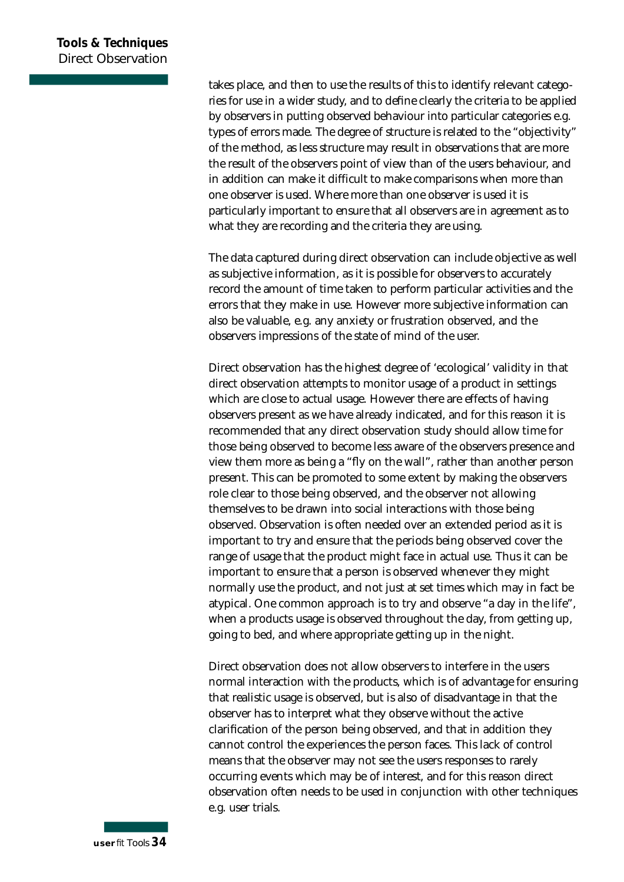takes place, and then to use the results of this to identify relevant categories for use in a wider study, and to define clearly the criteria to be applied by observers in putting observed behaviour into particular categories e.g. types of errors made. The degree of structure is related to the "objectivity" of the method, as less structure may result in observations that are more the result of the observers point of view than of the users behaviour, and in addition can make it difficult to make comparisons when more than one observer is used. Where more than one observer is used it is particularly important to ensure that all observers are in agreement as to what they are recording and the criteria they are using.

The data captured during direct observation can include objective as well as subjective information, as it is possible for observers to accurately record the amount of time taken to perform particular activities and the errors that they make in use. However more subjective information can also be valuable, e.g. any anxiety or frustration observed, and the observers impressions of the state of mind of the user.

Direct observation has the highest degree of 'ecological' validity in that direct observation attempts to monitor usage of a product in settings which are close to actual usage. However there are effects of having observers present as we have already indicated, and for this reason it is recommended that any direct observation study should allow time for those being observed to become less aware of the observers presence and view them more as being a "fly on the wall", rather than another person present. This can be promoted to some extent by making the observers role clear to those being observed, and the observer not allowing themselves to be drawn into social interactions with those being observed. Observation is often needed over an extended period as it is important to try and ensure that the periods being observed cover the range of usage that the product might face in actual use. Thus it can be important to ensure that a person is observed whenever they might normally use the product, and not just at set times which may in fact be atypical. One common approach is to try and observe "a day in the life", when a products usage is observed throughout the day, from getting up, going to bed, and where appropriate getting up in the night.

Direct observation does not allow observers to interfere in the users normal interaction with the products, which is of advantage for ensuring that realistic usage is observed, but is also of disadvantage in that the observer has to interpret what they observe without the active clarification of the person being observed, and that in addition they cannot control the experiences the person faces. This lack of control means that the observer may not see the users responses to rarely occurring events which may be of interest, and for this reason direct observation often needs to be used in conjunction with other techniques e.g. user trials.

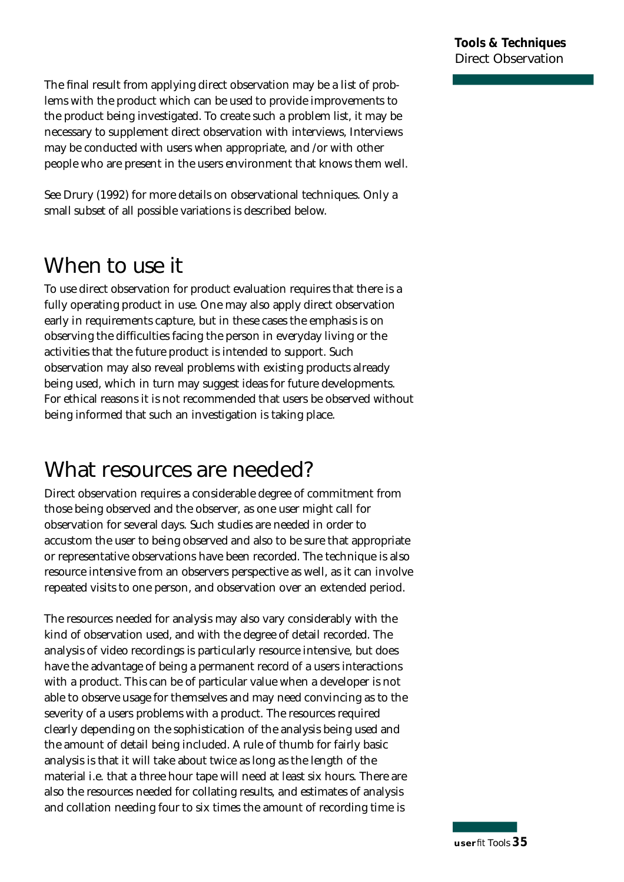The final result from applying direct observation may be a list of problems with the product which can be used to provide improvements to the product being investigated. To create such a problem list, it may be necessary to supplement direct observation with interviews, Interviews may be conducted with users when appropriate, and /or with other people who are present in the users environment that knows them well.

See Drury (1992) for more details on observational techniques. Only a small subset of all possible variations is described below.

### **When to use it**

To use direct observation for product evaluation requires that there is a fully operating product in use. One may also apply direct observation early in requirements capture, but in these cases the emphasis is on observing the difficulties facing the person in everyday living or the activities that the future product is intended to support. Such observation may also reveal problems with existing products already being used, which in turn may suggest ideas for future developments. For ethical reasons it is not recommended that users be observed without being informed that such an investigation is taking place.

### **What resources are needed?**

Direct observation requires a considerable degree of commitment from those being observed and the observer, as one user might call for observation for several days. Such studies are needed in order to accustom the user to being observed and also to be sure that appropriate or representative observations have been recorded. The technique is also resource intensive from an observers perspective as well, as it can involve repeated visits to one person, and observation over an extended period.

The resources needed for analysis may also vary considerably with the kind of observation used, and with the degree of detail recorded. The analysis of video recordings is particularly resource intensive, but does have the advantage of being a permanent record of a users interactions with a product. This can be of particular value when a developer is not able to observe usage for themselves and may need convincing as to the severity of a users problems with a product. The resources required clearly depending on the sophistication of the analysis being used and the amount of detail being included. A rule of thumb for fairly basic analysis is that it will take about twice as long as the length of the material i.e. that a three hour tape will need at least six hours. There are also the resources needed for collating results, and estimates of analysis and collation needing four to six times the amount of recording time is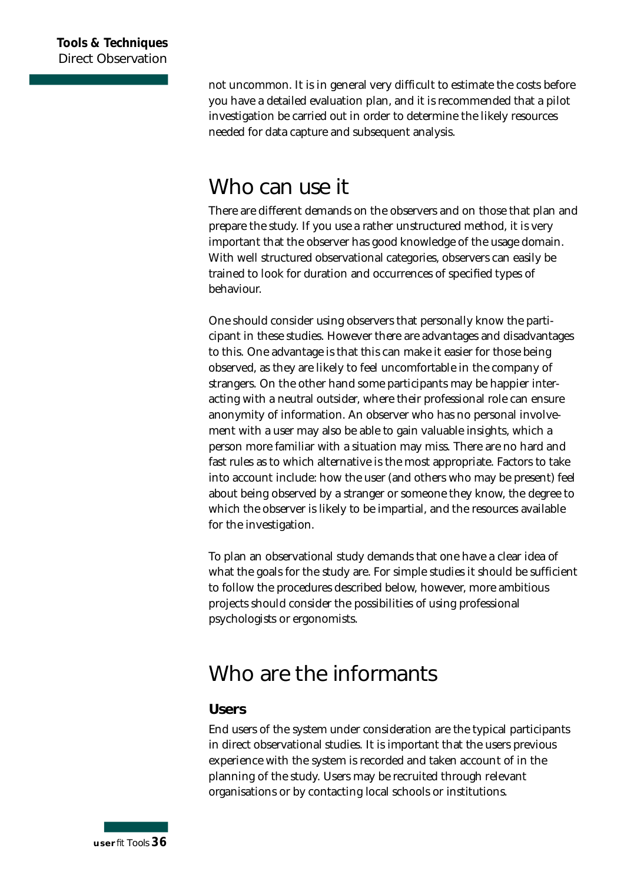not uncommon. It is in general very difficult to estimate the costs before you have a detailed evaluation plan, and it is recommended that a pilot investigation be carried out in order to determine the likely resources needed for data capture and subsequent analysis.

### **Who can use it**

There are different demands on the observers and on those that plan and prepare the study. If you use a rather unstructured method, it is very important that the observer has good knowledge of the usage domain. With well structured observational categories, observers can easily be trained to look for duration and occurrences of specified types of behaviour.

One should consider using observers that personally know the participant in these studies. However there are advantages and disadvantages to this. One advantage is that this can make it easier for those being observed, as they are likely to feel uncomfortable in the company of strangers. On the other hand some participants may be happier interacting with a neutral outsider, where their professional role can ensure anonymity of information. An observer who has no personal involvement with a user may also be able to gain valuable insights, which a person more familiar with a situation may miss. There are no hard and fast rules as to which alternative is the most appropriate. Factors to take into account include: how the user (and others who may be present) feel about being observed by a stranger or someone they know, the degree to which the observer is likely to be impartial, and the resources available for the investigation.

To plan an observational study demands that one have a clear idea of what the goals for the study are. For simple studies it should be sufficient to follow the procedures described below, however, more ambitious projects should consider the possibilities of using professional psychologists or ergonomists.

### **Who are the informants**

#### **Users**

End users of the system under consideration are the typical participants in direct observational studies. It is important that the users previous experience with the system is recorded and taken account of in the planning of the study. Users may be recruited through relevant organisations or by contacting local schools or institutions.

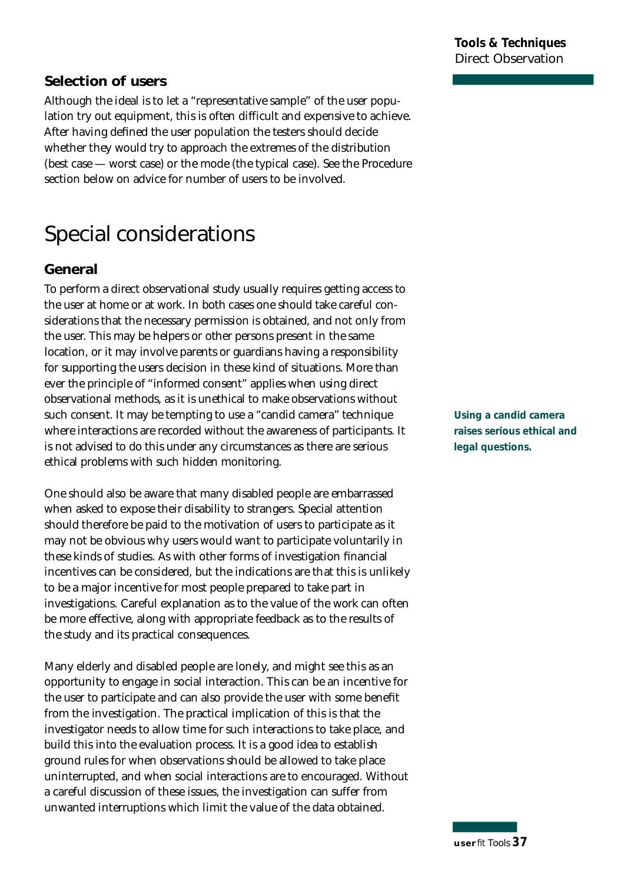## **u s e r***fit* Tools *3 7*

#### **Tools & Techniques Direct Observation**

#### **Selection of users**

Although the ideal is to let a "representative sample" of the user population try out equipment, this is often difficult and expensive to achieve. After having defined the user population the testers should decide whether they would try to approach the extremes of the distribution  $(best case - worst case)$  or the mode  $(the typical case)$ . See the Procedure section below on advice for number of users to be involved.

### **Special considerations**

#### **General**

To perform a direct observational study usually requires getting access to the user at home or at work. In both cases one should take careful considerations that the necessary permission is obtained, and not only from the user. This may be helpers or other persons present in the same location, or it may involve parents or guardians having a responsibility for supporting the users decision in these kind of situations. More than ever the principle of "informed consent" applies when using direct observational methods, as it is unethical to make observations without such consent. It may be tempting to use a "candid camera" technique where interactions are recorded without the awareness of participants. It is not advised to do this under any circumstances as there are serious ethical problems with such hidden monitoring.

One should also be aware that many disabled people are embarrassed when asked to expose their disability to strangers. Special attention should therefore be paid to the motivation of users to participate as it may not be obvious why users would want to participate voluntarily in these kinds of studies. As with other forms of investigation financial incentives can be considered, but the indications are that this is unlikely to be a major incentive for most people prepared to take part in investigations. Careful explanation as to the value of the work can often be more effective, along with appropriate feedback as to the results of the study and its practical consequences.

Many elderly and disabled people are lonely, and might see this as an opportunity to engage in social interaction. This can be an incentive for the user to participate and can also provide the user with some benefit from the investigation. The practical implication of this is that the investigator needs to allow time for such interactions to take place, and build this into the evaluation process. It is a good idea to establish ground rules for when observations should be allowed to take place uninterrupted, and when social interactions are to encouraged. Without a careful discussion of these issues, the investigation can suffer from unwanted interruptions which limit the value of the data obtained.

**Using a candid camera raises serious ethical and legal questions.**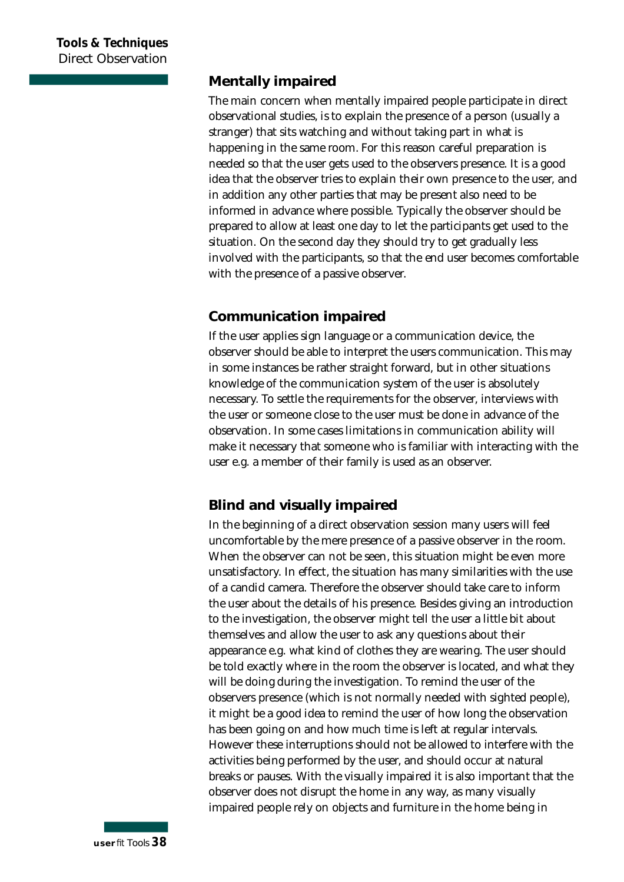#### **Mentally impaired**

The main concern when mentally impaired people participate in direct observational studies, is to explain the presence of a person (usually a stranger) that sits watching and without taking part in what is happening in the same room. For this reason careful preparation is needed so that the user gets used to the observers presence. It is a good idea that the observer tries to explain their own presence to the user, and in addition any other parties that may be present also need to be informed in advance where possible. Typically the observer should be prepared to allow at least one day to let the participants get used to the situation. On the second day they should try to get gradually less involved with the participants, so that the end user becomes comfortable with the presence of a passive observer.

#### **Communication impaired**

If the user applies sign language or a communication device, the observer should be able to interpret the users communication. This may in some instances be rather straight forward, but in other situations knowledge of the communication system of the user is absolutely necessary. To settle the requirements for the observer, interviews with the user or someone close to the user must be done in advance of the observation. In some cases limitations in communication ability will make it necessary that someone who is familiar with interacting with the user e.g. a member of their family is used as an observer.

#### **Blind and visually impaired**

In the beginning of a direct observation session many users will feel un comfortable by the mere presence of a passive observer in the room. When the observer can not be seen, this situation might be even more un satisfactory. In effect, the situation has many similarities with the use of a candid camera. Therefore the observer should take care to inform the user about the details of his presence. Besides giving an introduction to the investigation, the observer might tell the user a little bit about themselves and allow the user to ask any questions about their appearance e.g. what kind of clothes they are wearing. The user should be told exactly where in the room the observer is located, and what they will be doing during the investigation. To remind the user of the observers presence (which is not normally needed with sighted people), it might be a good idea to remind the user of how long the observation has been going on and how much time is left at regular intervals. However these interruptions should not be allowed to interfere with the activities being performed by the user, and should occur at natural breaks or pauses. With the visually impaired it is also important that the observer does not disrupt the home in any way, as many visually impaired people rely on objects and furniture in the home being in

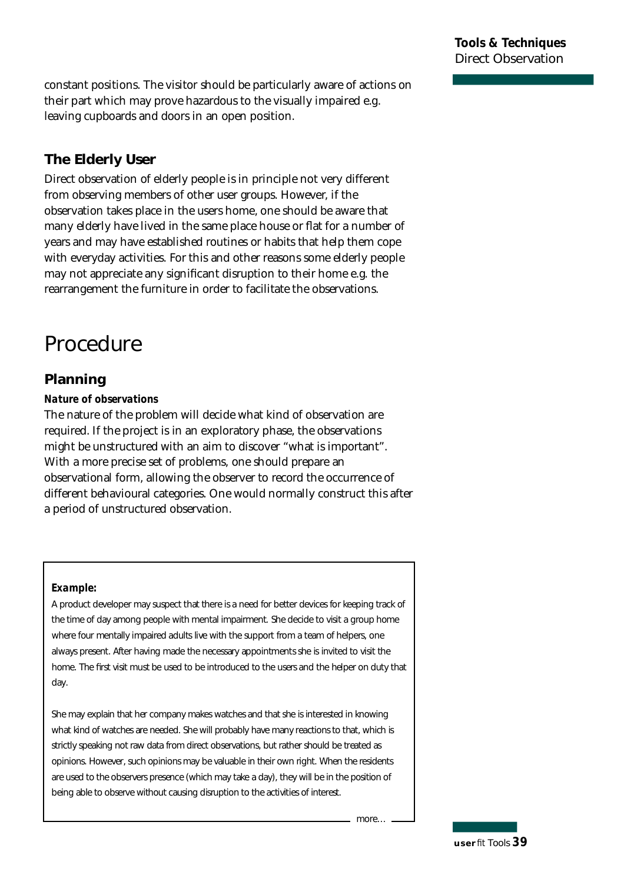constant positions. The visitor should be particularly aware of actions on their part which may prove hazardous to the visually impaired e.g. leaving cupboards and doors in an open position.

#### **The Elderly User**

Direct observation of elderly people is in principle not very different from observing members of other user groups. However, if the observation takes place in the users home, one should be aware that many elderly have lived in the same place house or flat for a number of years and may have established routines or habits that help them cope with everyday activities. For this and other reasons some elderly people may not appreciate any significant disruption to their home e.g. the re arrangement the furniture in order to facilitate the observations.

### **Procedure**

#### **Planning**

#### *Nature of observations*

The nature of the problem will decide what kind of observation are required. If the project is in an exploratory phase, the observations might be unstructured with an aim to discover "what is important". With a more precise set of problems, one should prepare an observational form, allowing the observer to record the occurrence of different behavioural categories. One would normally construct this after a period of unstructured observation.

#### *Example:*

A product developer may suspect that there is a need for better devices for keeping track of the time of day among people with mental impairment. She decide to visit a group home where four mentally impaired adults live with the support from a team of helpers, one always present. After having made the necessary appointments she is invited to visit the home. The first visit must be used to be introduced to the users and the helper on duty that day.

She may explain that her company makes watches and that she is interested in knowing what kind of watches are needed. She will probably have many reactions to that, which is strictly speaking not raw data from direct observations, but rather should be treated as opinions. However, such opinions may be valuable in their own right. When the residents are used to the observers presence (which may take a day), they will be in the position of being able to observe without causing disruption to the activities of interest.

 $more...$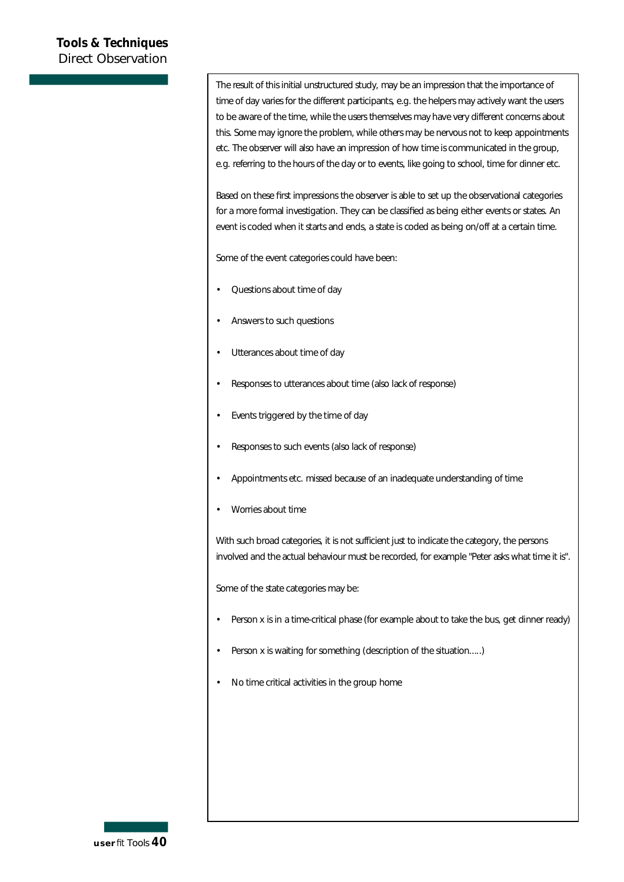The result of this initial unstructured study, may be an impression that the importance of time of day varies for the different participants, e.g. the helpers may actively want the users to be aware of the time, while the users themselves may have very different concerns about this. Some may ignore the problem, while others may be nervous not to keep appointments etc. The observer will also have an impression of how time is communicated in the group, e.g. referring to the hours of the day or to events, like going to school, time for dinner etc.

Based on these first impressions the observer is able to set up the observational categories for a more formal investigation. They can be classified as being either events or states. An event is coded when it starts and ends, a state is coded as being on/off at a certain time.

Some of the event categories could have been:

- Questions about time of day
- Answers to such questions
- Utterances about time of day
- Responses to utterances about time (also lack of response)
- Events triggered by the time of day
- Responses to such events (also lack of response)
- Appointments etc. missed because of an inadequate understanding of time
- Worries about time

With such broad categories, it is not sufficient just to indicate the category, the persons involved and the actual behaviour must be recorded, for example "Peter asks what time it is".

Some of the state categories may be:

- Person x is in a time-critical phase (for example about to take the bus, get dinner ready)
- Person x is waiting for something (description of the situation.....)
- No time critical activities in the group home

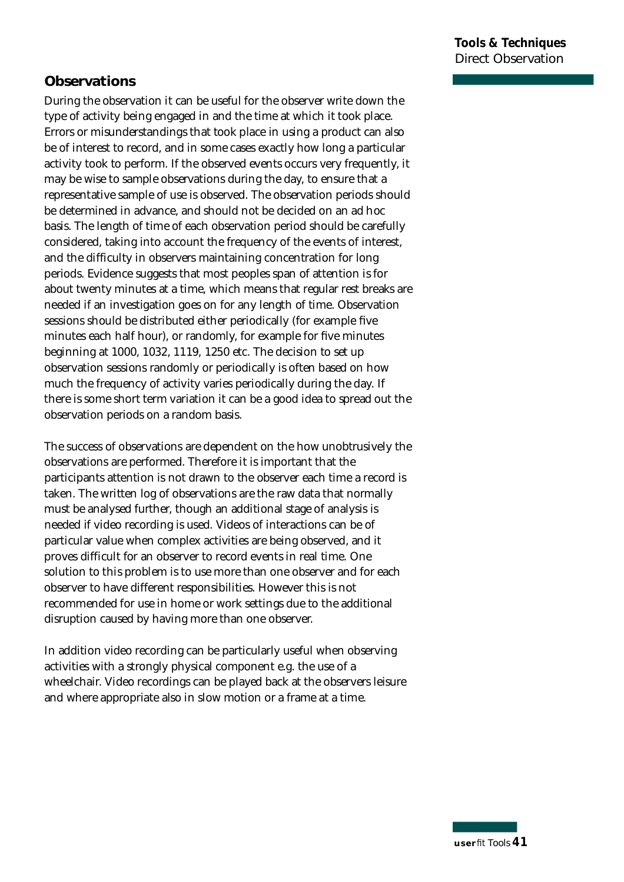#### **Observations**

During the observation it can be useful for the observer write down the type of activity being engaged in and the time at which it took place. Errors or misunderstandings that took place in using a product can also be of interest to record, and in some cases exactly how long a particular activity took to perform. If the observed events occurs very frequently, it may be wise to sample observations during the day, to ensure that a representative sample of use is observed. The observation periods should be determined in advance, and should not be decided on an ad hoc basis. The length of time of each observation period should be carefully considered, taking into account the frequency of the events of interest, and the difficulty in observers maintaining concentration for long periods. Evidence suggests that most peoples span of attention is for about twenty minutes at a time, which means that regular rest breaks are needed if an investigation goes on for any length of time. Observation sessions should be distributed either periodically (for example five minutes each half hour), or randomly, for example for five minutes beginning at 1000, 1032, 1119, 1250 etc. The decision to set up observation sessions randomly or periodically is often based on how much the frequency of activity varies periodically during the day. If there is some short term variation it can be a good idea to spread out the observation periods on a random basis.

The success of observations are dependent on the how unobtrusively the observations are performed. Therefore it is important that the participants attention is not drawn to the observer each time a record is taken. The written log of observations are the raw data that normally must be analysed further, though an additional stage of analysis is needed if video recording is used. Videos of interactions can be of particular value when complex activities are being observed, and it proves difficult for an observer to record events in real time. One solution to this problem is to use more than one observer and for each observer to have different responsibilities. However this is not recommended for use in home or work settings due to the additional disruption caused by having more than one observer.

In addition video recording can be particularly useful when observing activities with a strongly physical component e.g. the use of a wheelchair. Video recordings can be played back at the observers leisure and where appropriate also in slow motion or a frame at a time.

**u s e r***fit* Tools *4 1*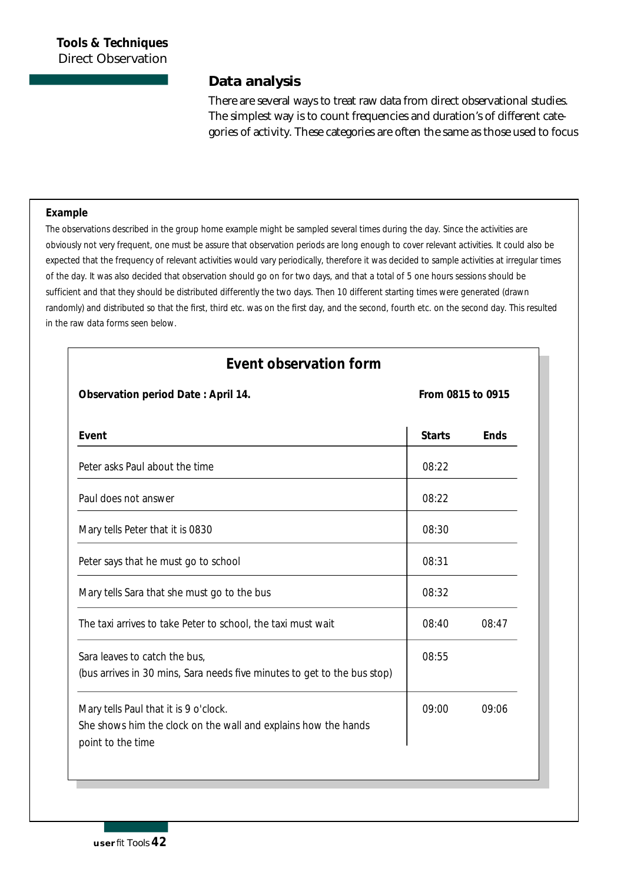#### **Data analysis**

There are several ways to treat raw data from direct observational studies. The simplest way is to count frequencies and duration's of different categories of activity. These categories are often the same as those used to focus

#### *Example*

The observations described in the group home example might be sampled several times during the day. Since the activities are obviously not very frequent, one must be assure that observation periods are long enough to cover relevant activities. It could also be expected that the frequency of relevant activities would vary periodically, therefore it was decided to sample activities at irregular times of the day. It was also decided that observation should go on for two days, and that a total of 5 one hours sessions should be sufficient and that they should be distributed differently the two days. Then 10 different starting times were generated (drawn randomly) and distributed so that the first, third etc. was on the first day, and the second, fourth etc. on the second day. This resulted in the raw data forms seen below.

| Event observation form |  |
|------------------------|--|
|                        |  |

*Observation period Date : April 14. From 0815 to 0915*

| Event                                                                                                                        | <b>Starts</b> | Ends  |
|------------------------------------------------------------------------------------------------------------------------------|---------------|-------|
| Peter asks Paul about the time                                                                                               | 08:22         |       |
| Paul does not answer                                                                                                         | 08:22         |       |
| Mary tells Peter that it is 0830                                                                                             | 08:30         |       |
| Peter says that he must go to school                                                                                         | 08:31         |       |
| Mary tells Sara that she must go to the bus                                                                                  | 08:32         |       |
| The taxi arrives to take Peter to school, the taxi must wait                                                                 | 08:40         | 08:47 |
| Sara leaves to catch the bus,<br>(bus arrives in 30 mins, Sara needs five minutes to get to the bus stop)                    | 08:55         |       |
| Mary tells Paul that it is 9 o'clock.<br>She shows him the clock on the wall and explains how the hands<br>point to the time | 09:00         | 09:06 |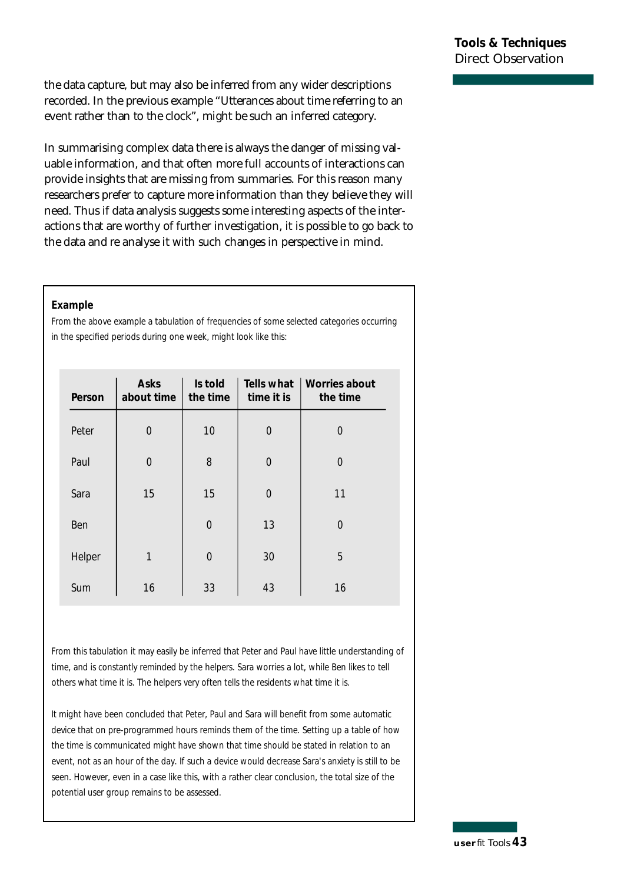the data capture, but may also be inferred from any wider descriptions recorded. In the previous example "Utterances about time referring to an event rather than to the clock", might be such an inferred category.

In summarising complex data there is always the danger of missing valuable information, and that often more full accounts of interactions can p rovide insights that are missing from summaries. For this reason many researchers prefer to capture more information than they believe they will need. Thus if data analysis suggests some interesting aspects of the interactions that are worthy of further investigation, it is possible to go back to the data and re analyse it with such changes in perspective in mind.

#### *Example*

From the above example a tabulation of frequencies of some selected categories occurring in the specified periods during one week, might look like this:

| Person | Asks<br>about time | Is told<br>the time | time it is     | Tells what   Worries about<br>the time |
|--------|--------------------|---------------------|----------------|----------------------------------------|
| Peter  | 0                  | 10                  | $\mathbf 0$    | 0                                      |
| Paul   | $\overline{0}$     | 8                   | $\overline{0}$ | $\overline{0}$                         |
| Sara   | 15                 | 15                  | $\overline{0}$ | 11                                     |
| Ben    |                    | $\overline{0}$      | 13             | $\Omega$                               |
| Helper | 1                  | $\overline{O}$      | 30             | 5                                      |
| Sum    | 16                 | 33                  | 43             | 16                                     |

From this tabulation it may easily be inferred that Peter and Paul have little understanding of time, and is constantly reminded by the helpers. Sara worries a lot, while Ben likes to tell others what time it is. The helpers very often tells the residents what time it is.

It might have been concluded that Peter, Paul and Sara will benefit from some automatic device that on pre-programmed hours reminds them of the time. Setting up a table of how the time is communicated might have shown that time should be stated in relation to an event, not as an hour of the day. If such a device would decrease Sara's anxiety is still to be seen. However, even in a case like this, with a rather clear conclusion, the total size of the potential user group remains to be assessed.